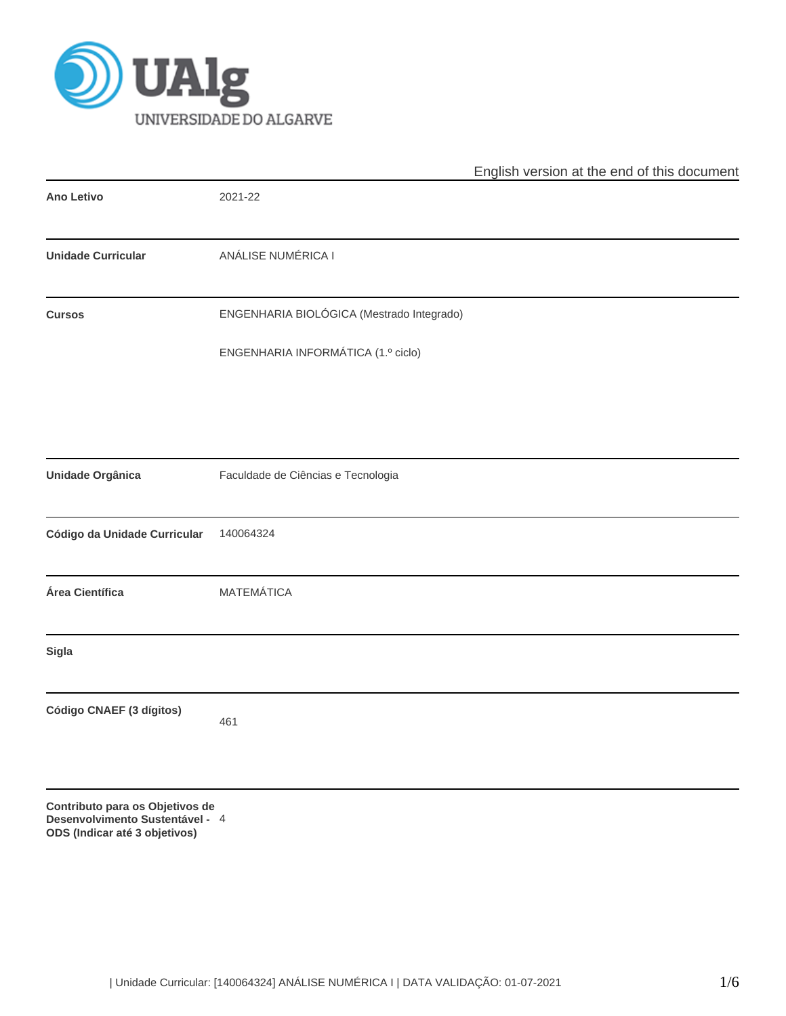

|                                                                                                     |                                           | English version at the end of this document |
|-----------------------------------------------------------------------------------------------------|-------------------------------------------|---------------------------------------------|
| <b>Ano Letivo</b>                                                                                   | 2021-22                                   |                                             |
| <b>Unidade Curricular</b>                                                                           | ANÁLISE NUMÉRICA I                        |                                             |
| <b>Cursos</b>                                                                                       | ENGENHARIA BIOLÓGICA (Mestrado Integrado) |                                             |
|                                                                                                     | ENGENHARIA INFORMÁTICA (1.º ciclo)        |                                             |
|                                                                                                     |                                           |                                             |
| <b>Unidade Orgânica</b>                                                                             | Faculdade de Ciências e Tecnologia        |                                             |
| Código da Unidade Curricular                                                                        | 140064324                                 |                                             |
| Área Científica                                                                                     | <b>MATEMÁTICA</b>                         |                                             |
| Sigla                                                                                               |                                           |                                             |
| Código CNAEF (3 dígitos)                                                                            | 461                                       |                                             |
| Contributo para os Objetivos de<br>Desenvolvimento Sustentável - 4<br>ODS (Indicar até 3 objetivos) |                                           |                                             |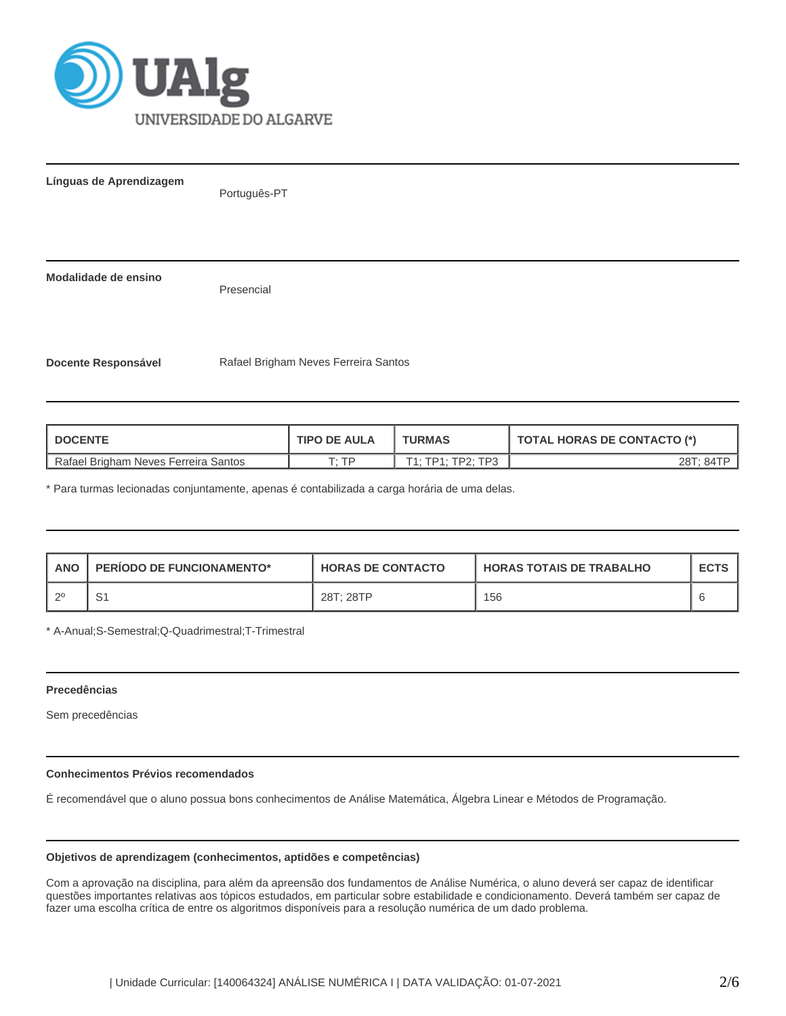

**Línguas de Aprendizagem**

Português-PT

**Modalidade de ensino**

Presencial

**Docente Responsável** Rafael Brigham Neves Ferreira Santos

| I DOCENTE                              | <b>TIPO DE AULA</b> | <b>TURMAS</b>     | <b>TOTAL HORAS DE CONTACTO (*)</b> |  |  |
|----------------------------------------|---------------------|-------------------|------------------------------------|--|--|
| l Rafael Brigham Neves Ferreira Santos | סד יד               | T1: TP1: TP2: TP3 | 28T: 84TP                          |  |  |

\* Para turmas lecionadas conjuntamente, apenas é contabilizada a carga horária de uma delas.

| <b>ANO</b> | <b>PERIODO DE FUNCIONAMENTO*</b> | <b>HORAS DE CONTACTO</b> | <b>HORAS TOTAIS DE TRABALHO</b> | <b>ECTS</b> |
|------------|----------------------------------|--------------------------|---------------------------------|-------------|
| റ0         | ا ب                              | 28T: 28TP                | 156                             |             |

\* A-Anual;S-Semestral;Q-Quadrimestral;T-Trimestral

## **Precedências**

Sem precedências

# **Conhecimentos Prévios recomendados**

É recomendável que o aluno possua bons conhecimentos de Análise Matemática, Álgebra Linear e Métodos de Programação.

# **Objetivos de aprendizagem (conhecimentos, aptidões e competências)**

Com a aprovação na disciplina, para além da apreensão dos fundamentos de Análise Numérica, o aluno deverá ser capaz de identificar questões importantes relativas aos tópicos estudados, em particular sobre estabilidade e condicionamento. Deverá também ser capaz de fazer uma escolha crítica de entre os algoritmos disponíveis para a resolução numérica de um dado problema.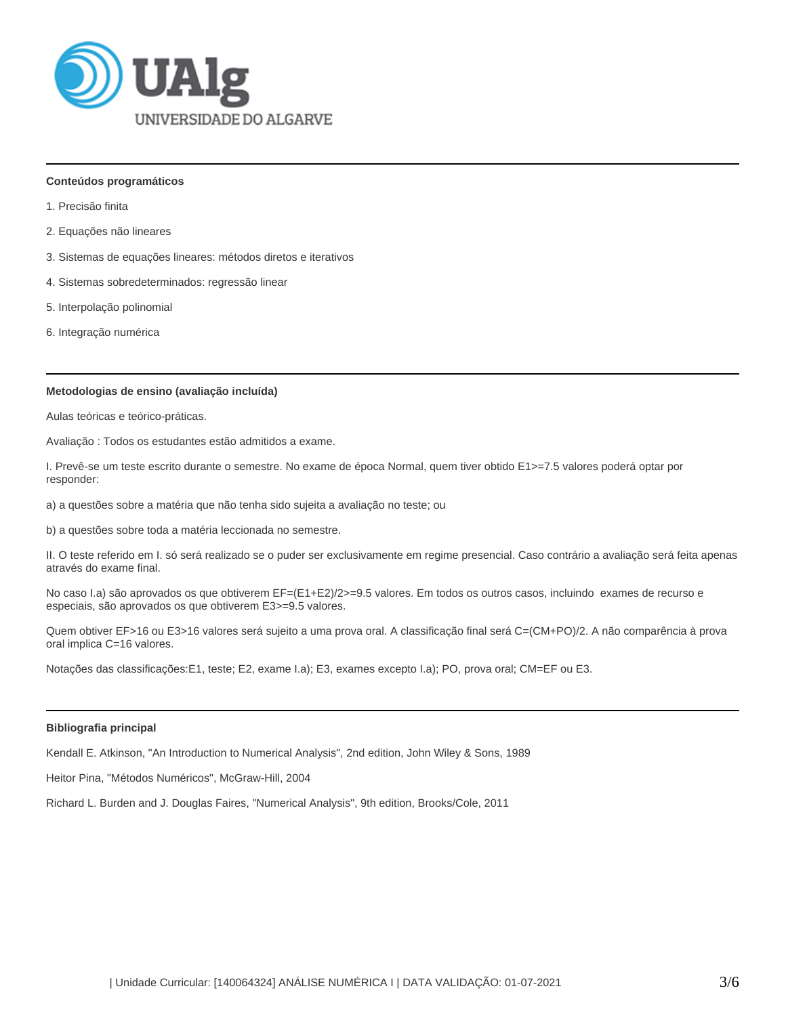

#### **Conteúdos programáticos**

- 1. Precisão finita
- 2. Equações não lineares
- 3. Sistemas de equações lineares: métodos diretos e iterativos
- 4. Sistemas sobredeterminados: regressão linear
- 5. Interpolação polinomial
- 6. Integração numérica

## **Metodologias de ensino (avaliação incluída)**

Aulas teóricas e teórico-práticas.

Avaliação : Todos os estudantes estão admitidos a exame.

I. Prevê-se um teste escrito durante o semestre. No exame de época Normal, quem tiver obtido E1>=7.5 valores poderá optar por responder:

a) a questões sobre a matéria que não tenha sido sujeita a avaliação no teste; ou

b) a questões sobre toda a matéria leccionada no semestre.

II. O teste referido em I. só será realizado se o puder ser exclusivamente em regime presencial. Caso contrário a avaliação será feita apenas através do exame final.

No caso I.a) são aprovados os que obtiverem EF=(E1+E2)/2>=9.5 valores. Em todos os outros casos, incluindo exames de recurso e especiais, são aprovados os que obtiverem E3>=9.5 valores.

Quem obtiver EF>16 ou E3>16 valores será sujeito a uma prova oral. A classificação final será C=(CM+PO)/2. A não comparência à prova oral implica C=16 valores.

Notações das classificações:E1, teste; E2, exame I.a); E3, exames excepto I.a); PO, prova oral; CM=EF ou E3.

# **Bibliografia principal**

Kendall E. Atkinson, "An Introduction to Numerical Analysis", 2nd edition, John Wiley & Sons, 1989

Heitor Pina, "Métodos Numéricos", McGraw-Hill, 2004

Richard L. Burden and J. Douglas Faires, "Numerical Analysis", 9th edition, Brooks/Cole, 2011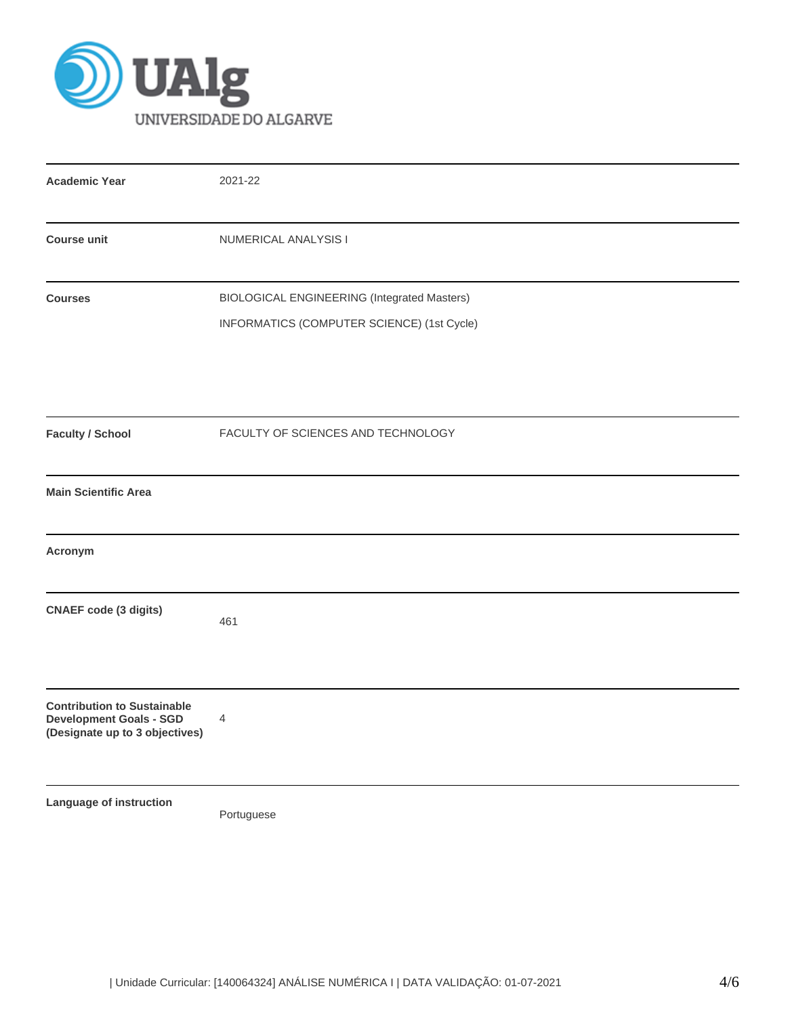

| <b>Academic Year</b>                                                                                   | 2021-22                                                                                   |  |  |  |  |
|--------------------------------------------------------------------------------------------------------|-------------------------------------------------------------------------------------------|--|--|--|--|
| <b>Course unit</b>                                                                                     | NUMERICAL ANALYSIS I                                                                      |  |  |  |  |
| <b>Courses</b>                                                                                         | BIOLOGICAL ENGINEERING (Integrated Masters)<br>INFORMATICS (COMPUTER SCIENCE) (1st Cycle) |  |  |  |  |
| <b>Faculty / School</b>                                                                                | FACULTY OF SCIENCES AND TECHNOLOGY                                                        |  |  |  |  |
| <b>Main Scientific Area</b>                                                                            |                                                                                           |  |  |  |  |
| Acronym                                                                                                |                                                                                           |  |  |  |  |
| <b>CNAEF</b> code (3 digits)                                                                           | 461                                                                                       |  |  |  |  |
| <b>Contribution to Sustainable</b><br><b>Development Goals - SGD</b><br>(Designate up to 3 objectives) | 4                                                                                         |  |  |  |  |
| Language of instruction                                                                                | Portuguese                                                                                |  |  |  |  |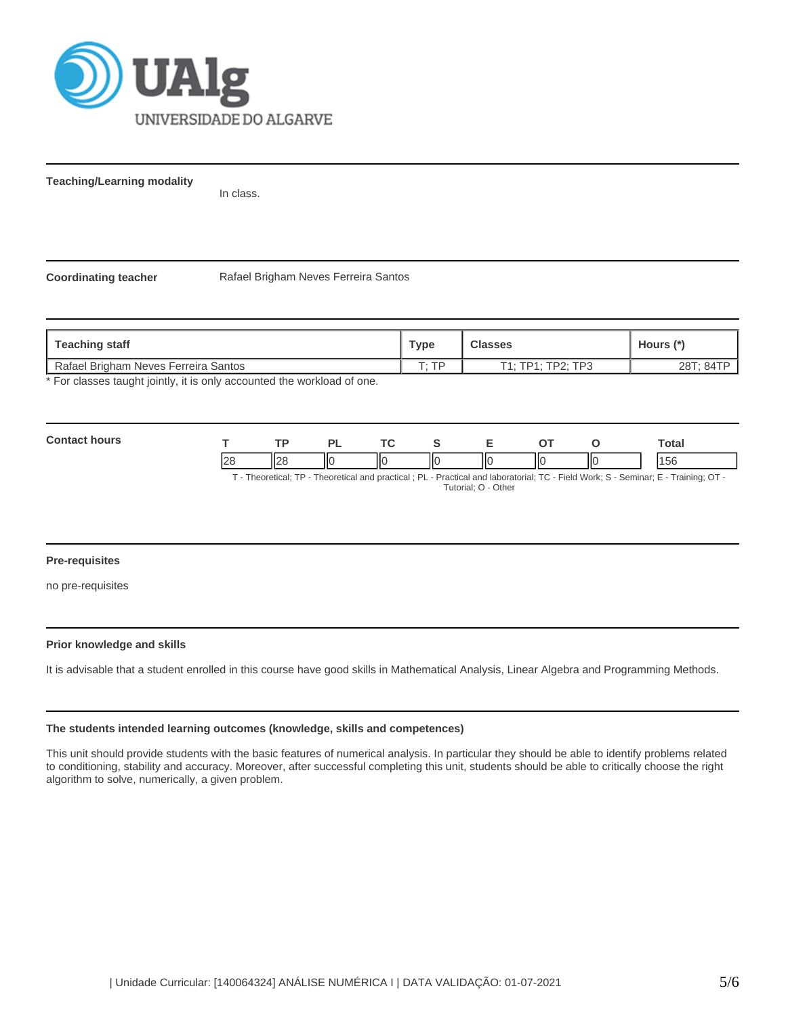

**Teaching/Learning modality**

In class.

**Coordinating teacher** Rafael Brigham Neves Ferreira Santos

| Teaching staff                                                        | Type  | Classes           | Hours $(*)$ |
|-----------------------------------------------------------------------|-------|-------------------|-------------|
| Rafael Brigham Neves Ferreira Santos                                  | סד יד | T1: TP1: TP2: TP3 | 28T: 84TP   |
| * Ear algonan tought jointly it is only accounted the werkload of ane |       |                   |             |

For classes taught jointly, it is only accounted the workload of one.

| <b>Conta</b><br>hours | $\overline{\phantom{a}}$ |                          | ∽. | TC. |    |          |     | Total         |
|-----------------------|--------------------------|--------------------------|----|-----|----|----------|-----|---------------|
|                       | $\Omega$                 | $\overline{\phantom{a}}$ | ШC | llС | ١К | ШC<br>II | IІC | $\sim$<br>156 |

T - Theoretical; TP - Theoretical and practical ; PL - Practical and laboratorial; TC - Field Work; S - Seminar; E - Training; OT - Tutorial; O - Other

# **Pre-requisites**

no pre-requisites

## **Prior knowledge and skills**

It is advisable that a student enrolled in this course have good skills in Mathematical Analysis, Linear Algebra and Programming Methods.

# **The students intended learning outcomes (knowledge, skills and competences)**

This unit should provide students with the basic features of numerical analysis. In particular they should be able to identify problems related to conditioning, stability and accuracy. Moreover, after successful completing this unit, students should be able to critically choose the right algorithm to solve, numerically, a given problem.